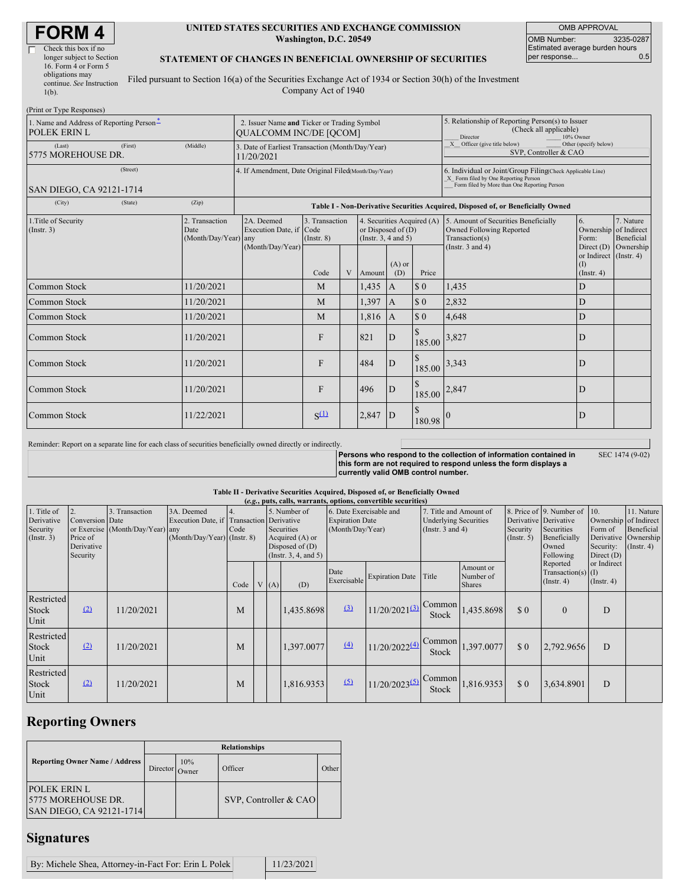# **FORM 4**

(Print or Type Responses)

| Check this box if no      |  |
|---------------------------|--|
| longer subject to Section |  |
| 16. Form 4 or Form 5      |  |
| obligations may           |  |
| continue. See Instruction |  |
| $1(b)$ .                  |  |
|                           |  |

### **UNITED STATES SECURITIES AND EXCHANGE COMMISSION Washington, D.C. 20549**

OMB APPROVAL OMB Number: 3235-0287 Estimated average burden hours<br>per response... 0.5 per response...

### **STATEMENT OF CHANGES IN BENEFICIAL OWNERSHIP OF SECURITIES**

Filed pursuant to Section 16(a) of the Securities Exchange Act of 1934 or Section 30(h) of the Investment Company Act of 1940

| $(1 \text{ min of 1 ypc respectively})$<br>1. Name and Address of Reporting Person-<br><b>POLEK ERIN L</b> | 2. Issuer Name and Ticker or Trading Symbol<br><b>OUALCOMM INC/DE [OCOM]</b> |                                                                                  |                                   |   |                                                                            |                 | 5. Relationship of Reporting Person(s) to Issuer<br>(Check all applicable)<br><b>Director</b><br>10% Owner                                         |                                                                                    |                                                   |                         |
|------------------------------------------------------------------------------------------------------------|------------------------------------------------------------------------------|----------------------------------------------------------------------------------|-----------------------------------|---|----------------------------------------------------------------------------|-----------------|----------------------------------------------------------------------------------------------------------------------------------------------------|------------------------------------------------------------------------------------|---------------------------------------------------|-------------------------|
| (First)<br>(Last)<br>5775 MOREHOUSE DR.                                                                    | 3. Date of Earliest Transaction (Month/Day/Year)<br>11/20/2021               |                                                                                  |                                   |   |                                                                            |                 | $\overline{X}$ Officer (give title below)<br>Other (specify below)<br>SVP, Controller & CAO                                                        |                                                                                    |                                                   |                         |
| (Street)<br><b>SAN DIEGO, CA 92121-1714</b>                                                                | 4. If Amendment, Date Original Filed(Month/Day/Year)                         |                                                                                  |                                   |   |                                                                            |                 | 6. Individual or Joint/Group Filing(Check Applicable Line)<br>X Form filed by One Reporting Person<br>Form filed by More than One Reporting Person |                                                                                    |                                                   |                         |
| (City)<br>(State)                                                                                          | (Zip)                                                                        | Table I - Non-Derivative Securities Acquired, Disposed of, or Beneficially Owned |                                   |   |                                                                            |                 |                                                                                                                                                    |                                                                                    |                                                   |                         |
| 1. Title of Security<br>(Insert. 3)                                                                        | 2. Transaction<br>Date<br>(Month/Day/Year) any                               | 2A. Deemed<br>Execution Date, if Code                                            | 3. Transaction<br>$($ Instr. $8)$ |   | 4. Securities Acquired (A)<br>or Disposed of $(D)$<br>(Insert. 3, 4 and 5) |                 |                                                                                                                                                    | 5. Amount of Securities Beneficially<br>Owned Following Reported<br>Transaction(s) | 6.<br>Ownership of Indirect<br>Form:              | 7. Nature<br>Beneficial |
|                                                                                                            |                                                                              | (Month/Day/Year)                                                                 | Code                              | V | Amount                                                                     | $(A)$ or<br>(D) | Price                                                                                                                                              | (Instr. $3$ and $4$ )                                                              | or Indirect (Instr. 4)<br>(I)<br>$($ Instr. 4 $)$ | Direct $(D)$ Ownership  |
| Common Stock                                                                                               | 11/20/2021                                                                   |                                                                                  | M                                 |   | 1,435                                                                      | $\mathbf{A}$    | $\Omega$                                                                                                                                           | 1,435                                                                              | D                                                 |                         |
| Common Stock                                                                                               | 11/20/2021                                                                   |                                                                                  | M                                 |   | 1,397                                                                      | $\overline{A}$  | \$0                                                                                                                                                | 2,832                                                                              | D                                                 |                         |
| Common Stock                                                                                               | 11/20/2021                                                                   |                                                                                  | M                                 |   | 1,816                                                                      | $\mathbf{A}$    | $\Omega$                                                                                                                                           | 4.648                                                                              | D                                                 |                         |
| Common Stock                                                                                               | 11/20/2021                                                                   |                                                                                  | F                                 |   | 821                                                                        | D               | 185.00                                                                                                                                             | 3,827                                                                              | D                                                 |                         |
| Common Stock                                                                                               | 11/20/2021                                                                   |                                                                                  | $\mathbf{F}$                      |   | 484                                                                        | D               | 185.00                                                                                                                                             | 3,343                                                                              | D                                                 |                         |
| Common Stock                                                                                               | 11/20/2021                                                                   |                                                                                  | F                                 |   | 496                                                                        | D               | 185.00 2,847                                                                                                                                       |                                                                                    | D                                                 |                         |
| Common Stock                                                                                               | 11/22/2021                                                                   |                                                                                  | $S^{(1)}$                         |   | 2,847                                                                      | ID              | 180.98                                                                                                                                             |                                                                                    | D                                                 |                         |

Reminder: Report on a separate line for each class of securities beneficially owned directly or indirectly.

**Persons who respond to the collection of information contained in this form are not required to respond unless the form displays a currently valid OMB control number.**

|  |  | SEC 1474 (9-02) |
|--|--|-----------------|
|--|--|-----------------|

### **Table II - Derivative Securities Acquired, Disposed of, or Beneficially Owned (***e.g.***, puts, calls, warrants, options, convertible securities)** 1. Title of Derivative Security  $($ Instr.  $3)$ 2. Conversion or Exercise Price of Derivative Security 3. Transaction Date (Month/Day/Year) 3A. Deemed Execution Date, if any (Month/Day/Year) 4. **Transaction** Code (Instr. 8) 5. Number of Derivative Securities Acquired (A) or Disposed of  $(D)$ (Instr. 3, 4, and 5) 6. Date Exercisable and Expiration Date (Month/Day/Year) 7. Title and Amount of Underlying Securities (Instr. 3 and 4) 8. Price of Derivative Security  $($ Instr. 5 $)$ 9. Number of **Derivative** Securities Beneficially Owned Following Reported Transaction(s) (Instr. 4) 10. Ownership Form of Derivative Security: Direct (D) or Indirect (I) (Instr. 4) 11. Nature of Indirect Beneficial Ownership  $($ Instr. 4 $)$  $Code \mid V \mid (A)$  (D) Date Exercisable Expiration Date Title Amount or Number of Shares Restricted Stock Unit  $\boxed{2}$  11/20/2021 M 1,435.8698  $(3)$  11/20/2021 $(3)$ Common Stock  $1,435.8698$  \$ 0 0 D

| Restricted<br>Stock<br>Unit | (2) | 11/20/2021 | M |  | 1.397.0077 | (4) | $11/20/2022$ <sup>(4)</sup> | $\sqrt{\text{Common}}$<br>Stock | 1,397.0077 | $\Omega$ | 2.792.9656 | D |  |
|-----------------------------|-----|------------|---|--|------------|-----|-----------------------------|---------------------------------|------------|----------|------------|---|--|
| Restricted<br>Stock<br>Unit | (2) | 11/20/2021 | M |  | 1.816.9353 |     | $11/20/2023^{(5)}$ Common   | Stock                           | 1.816.9353 | \$0      | 3.634.8901 |   |  |

# **Reporting Owners**

|                                                                       | <b>Relationships</b> |                     |                       |       |  |  |  |  |  |
|-----------------------------------------------------------------------|----------------------|---------------------|-----------------------|-------|--|--|--|--|--|
| <b>Reporting Owner Name / Address</b>                                 | Director             | 10%<br><b>Twner</b> | Officer               | Other |  |  |  |  |  |
| <b>POLEK ERIN L</b><br>5775 MOREHOUSE DR.<br>SAN DIEGO, CA 92121-1714 |                      |                     | SVP, Controller & CAO |       |  |  |  |  |  |

### **Signatures**

By: Michele Shea, Attorney-in-Fact For: Erin L Polek 11/23/2021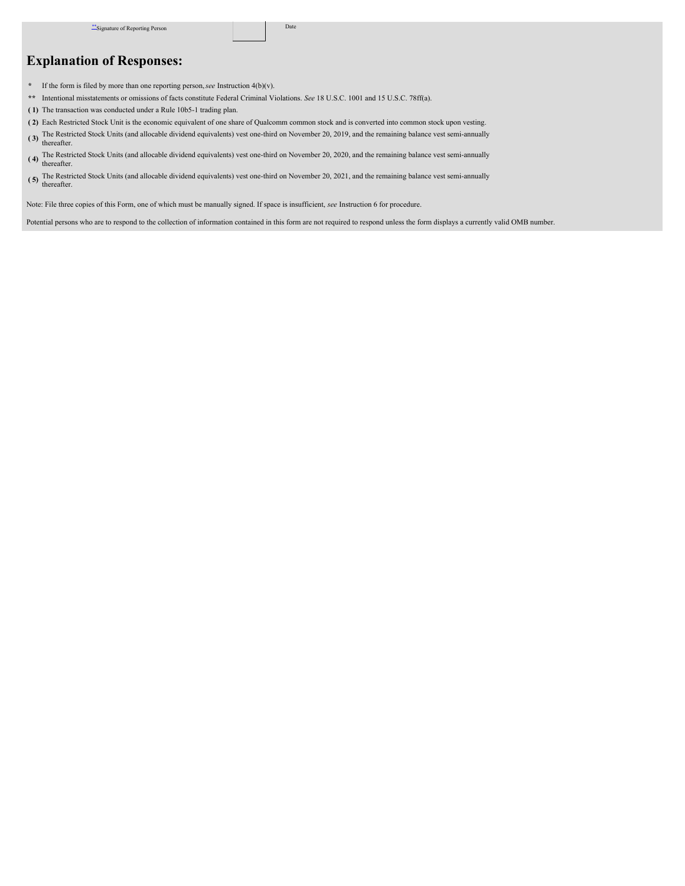## **Explanation of Responses:**

- **\*** If the form is filed by more than one reporting person,*see* Instruction 4(b)(v).
- **\*\*** Intentional misstatements or omissions of facts constitute Federal Criminal Violations. *See* 18 U.S.C. 1001 and 15 U.S.C. 78ff(a).
- **( 1)** The transaction was conducted under a Rule 10b5-1 trading plan.
- **( 2)** Each Restricted Stock Unit is the economic equivalent of one share of Qualcomm common stock and is converted into common stock upon vesting.
- **( 3)** The Restricted Stock Units (and allocable dividend equivalents) vest one-third on November 20, 2019, and the remaining balance vest semi-annually thereafter.
- **( 4)** The Restricted Stock Units (and allocable dividend equivalents) vest one-third on November 20, 2020, and the remaining balance vest semi-annually thereafter.
- (5) The Restricted Stock Units (and allocable dividend equivalents) vest one-third on November 20, 2021, and the remaining balance vest semi-annually thereafter.

Note: File three copies of this Form, one of which must be manually signed. If space is insufficient, *see* Instruction 6 for procedure.

Potential persons who are to respond to the collection of information contained in this form are not required to respond unless the form displays a currently valid OMB number.